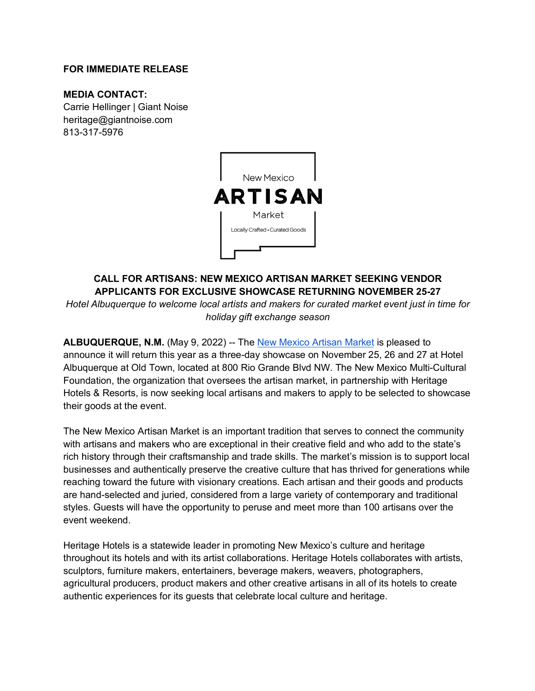#### **FOR IMMEDIATE RELEASE**

#### **MEDIA CONTACT:**

Carrie Hellinger | Giant Noise heritage@giantnoise.com 813-317-5976



# **CALL FOR ARTISANS: NEW MEXICO ARTISAN MARKET SEEKING VENDOR APPLICANTS FOR EXCLUSIVE SHOWCASE RETURNING NOVEMBER 25-27**

*Hotel Albuquerque to welcome local artists and makers for curated market event just in time for holiday gift exchange season* 

**ALBUQUERQUE, N.M.** (May 9, 2022) -- The New Mexico Artisan Market is pleased to announce it will return this year as a three-day showcase on November 25, 26 and 27 at Hotel Albuquerque at Old Town, located at 800 Rio Grande Blvd NW. The New Mexico Multi-Cultural Foundation, the organization that oversees the artisan market, in partnership with Heritage Hotels & Resorts, is now seeking local artisans and makers to apply to be selected to showcase their goods at the event.

The New Mexico Artisan Market is an important tradition that serves to connect the community with artisans and makers who are exceptional in their creative field and who add to the state's rich history through their craftsmanship and trade skills. The market's mission is to support local businesses and authentically preserve the creative culture that has thrived for generations while reaching toward the future with visionary creations. Each artisan and their goods and products are hand-selected and juried, considered from a large variety of contemporary and traditional styles. Guests will have the opportunity to peruse and meet more than 100 artisans over the event weekend.

Heritage Hotels is a statewide leader in promoting New Mexico's culture and heritage throughout its hotels and with its artist collaborations. Heritage Hotels collaborates with artists, sculptors, furniture makers, entertainers, beverage makers, weavers, photographers, agricultural producers, product makers and other creative artisans in all of its hotels to create authentic experiences for its guests that celebrate local culture and heritage.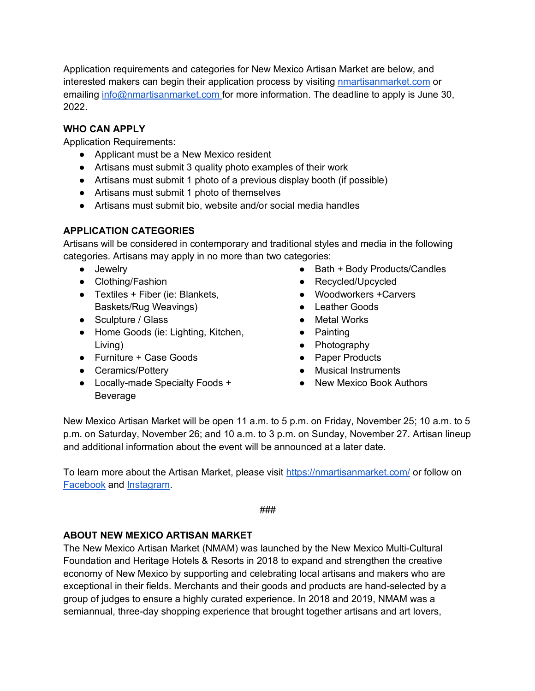Application requirements and categories for New Mexico Artisan Market are below, and interested makers can begin their application process by visiting **nmartisanmarket.com** or emailing info@nmartisanmarket.com for more information. The deadline to apply is June 30, 2022.

### **WHO CAN APPLY**

Application Requirements:

- Applicant must be a New Mexico resident
- Artisans must submit 3 quality photo examples of their work
- Artisans must submit 1 photo of a previous display booth (if possible)
- Artisans must submit 1 photo of themselves
- Artisans must submit bio, website and/or social media handles

## **APPLICATION CATEGORIES**

Artisans will be considered in contemporary and traditional styles and media in the following categories. Artisans may apply in no more than two categories:

- Jewelry
- Clothing/Fashion
- Textiles + Fiber (ie: Blankets, Baskets/Rug Weavings)
- Sculpture / Glass
- Home Goods (ie: Lighting, Kitchen, Living)
- Furniture + Case Goods
- Ceramics/Potterv
- Locally-made Specialty Foods + Beverage
- Bath + Body Products/Candles
- Recycled/Upcycled
- Woodworkers +Carvers
- Leather Goods
- Metal Works
- Painting
- Photography
- Paper Products
- Musical Instruments
- New Mexico Book Authors

New Mexico Artisan Market will be open 11 a.m. to 5 p.m. on Friday, November 25; 10 a.m. to 5 p.m. on Saturday, November 26; and 10 a.m. to 3 p.m. on Sunday, November 27. Artisan lineup and additional information about the event will be announced at a later date.

To learn more about the Artisan Market, please visit https://nmartisanmarket.com/ or follow on Facebook and Instagram.

```
###
```
#### **ABOUT NEW MEXICO ARTISAN MARKET**

The New Mexico Artisan Market (NMAM) was launched by the New Mexico Multi-Cultural Foundation and Heritage Hotels & Resorts in 2018 to expand and strengthen the creative economy of New Mexico by supporting and celebrating local artisans and makers who are exceptional in their fields. Merchants and their goods and products are hand-selected by a group of judges to ensure a highly curated experience. In 2018 and 2019, NMAM was a semiannual, three-day shopping experience that brought together artisans and art lovers,